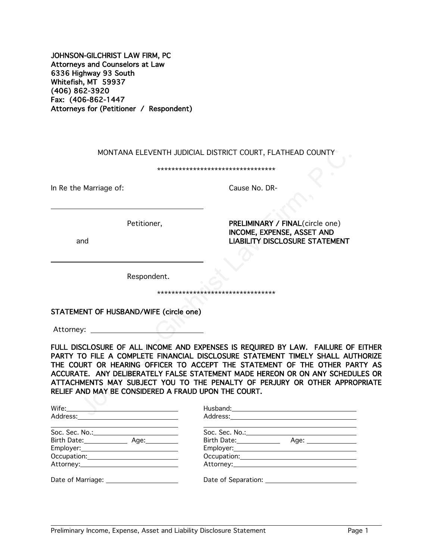JOHNSON-GILCHRIST LAW FIRM, PC Attorneys and Counselors at Law 6336 Highway 93 South Whitefish, MT 59937 (406) 862-3920 Fax: (406-862-1447 Attorneys for (Petitioner / Respondent)

MONTANA ELEVENTH JUDICIAL DISTRICT COURT, FLATHEAD COUNTY

\*\*\*\*\*\*\*\*\*\*\*\*\*\*\*\*\*\*\*\*\*\*\*\*\*\*\*\*\*\*\*\*\*

In Re the Marriage of: Cause No. DR-

 $\ddot{\phantom{a}}$ 

 $\overline{a}$ 

Petitioner, PRELIMINARY / FINAL(circle one) INCOME, EXPENSE, ASSET AND and LIABILITY DISCLOSURE STATEMENT

Respondent.

\*\*\*\*\*\*\*\*\*\*\*\*\*\*\*\*\*\*\*\*\*\*\*\*\*\*\*\*\*\*\*\*\*

#### STATEMENT OF HUSBAND/WIFE (circle one)

Attorney: \_\_\_

FULL DISCLOSURE OF ALL INCOME AND EXPENSES IS REQUIRED BY LAW. FAILURE OF EITHER PARTY TO FILE A COMPLETE FINANCIAL DISCLOSURE STATEMENT TIMELY SHALL AUTHORIZE THE COURT OR HEARING OFFICER TO ACCEPT THE STATEMENT OF THE OTHER PARTY AS ACCURATE. ANY DELIBERATELY FALSE STATEMENT MADE HEREON OR ON ANY SCHEDULES OR ATTACHMENTS MAY SUBJECT YOU TO THE PENALTY OF PERJURY OR OTHER APPROPRIATE RELIEF AND MAY BE CONSIDERED A FRAUD UPON THE COURT. MONTANA ELEVENTH JUDICIAL DISTRICT COURT, FLATHEAD COUNTY<br>
Marriage of:<br>
Cause No. DR-<br>
Petitioner,<br>
Petitioner,<br>
Petitioner,<br>
Petitioner,<br>
Petitioner,<br>
Petitioner,<br>
Petitioner,<br>
Petitioner,<br>
LIABILITY DISCLOSURE STATEMENT

| <b>Contract Contract Contract Contract</b><br>Wife: Wife: Wife: Wife: Wife: Wife: Wife: Wife: Wife: Wife: Wife: Wife: Wife: Wife: Wife: Wife: Wife: Wife: Wife: Wife: Wife: Wife: Wife: Wife: Wife: Wife: Wife: Wife: Wife: Wife: Wife: Wife: Wife: Wife: Wife: Wife: Wife:<br>Address: No. 1996. Address: No. 1997. The Second State of the Second State of the Second State of the Second State of the Second State of the Second State of the Second State of the Second State of the Second State of the |                                                                                                   |
|--------------------------------------------------------------------------------------------------------------------------------------------------------------------------------------------------------------------------------------------------------------------------------------------------------------------------------------------------------------------------------------------------------------------------------------------------------------------------------------------------------------|---------------------------------------------------------------------------------------------------|
|                                                                                                                                                                                                                                                                                                                                                                                                                                                                                                              | Soc. Sec. No.: _________________________                                                          |
| Birth Date: Age: Age:                                                                                                                                                                                                                                                                                                                                                                                                                                                                                        | Birth Date: Markey Market Market Market Market Market Market Market Market<br>Age: ______________ |
|                                                                                                                                                                                                                                                                                                                                                                                                                                                                                                              |                                                                                                   |
|                                                                                                                                                                                                                                                                                                                                                                                                                                                                                                              |                                                                                                   |
|                                                                                                                                                                                                                                                                                                                                                                                                                                                                                                              |                                                                                                   |
| Date of Marriage: 2008                                                                                                                                                                                                                                                                                                                                                                                                                                                                                       |                                                                                                   |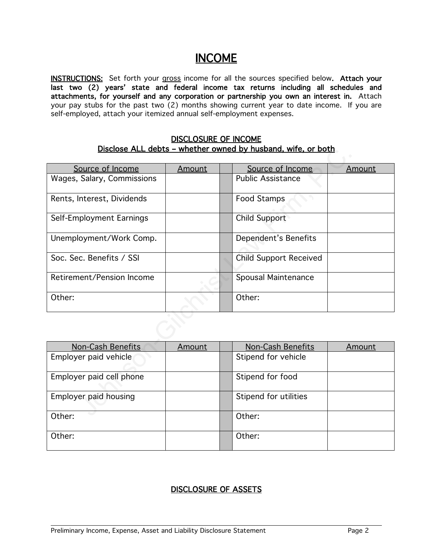# INCOME

INSTRUCTIONS: Set forth your gross income for all the sources specified below. Attach your last two (2) years' state and federal income tax returns including all schedules and attachments, for yourself and any corporation or partnership you own an interest in. Attach your pay stubs for the past two (2) months showing current year to date income. If you are self-employed, attach your itemized annual self-employment expenses.

#### DISCLOSURE OF INCOME Disclose ALL debts – whether owned by husband, wife, or both

| Disclose ALL debts – whether owned by husband, wife, or both |               |                               |               |
|--------------------------------------------------------------|---------------|-------------------------------|---------------|
| Source of Income                                             | Amount        | Source of Income              | Amount        |
| Wages, Salary, Commissions                                   |               | <b>Public Assistance</b>      |               |
| Rents, Interest, Dividends                                   | Food Stamps   |                               |               |
| Self-Employment Earnings                                     |               | <b>Child Support</b>          |               |
| Unemployment/Work Comp.                                      |               | Dependent's Benefits          |               |
| Soc. Sec. Benefits / SSI                                     |               | <b>Child Support Received</b> |               |
| Retirement/Pension Income                                    |               | Spousal Maintenance           |               |
| Other:                                                       |               | Other:                        |               |
|                                                              |               |                               |               |
| Non-Cash Benefits                                            | <b>Amount</b> | <b>Non-Cash Benefits</b>      | <u>Amount</u> |
| Employer paid vehicle                                        |               | Stipend for vehicle           |               |
| Employer paid cell phone                                     |               | Stipend for food              |               |
| Employer paid housing                                        |               | Stipend for utilities         |               |
| ∩ther∙                                                       |               | [0,1]                         |               |

| Non-Cash Benefits        | Amount | Non-Cash Benefits     | Amount |
|--------------------------|--------|-----------------------|--------|
| Employer paid vehicle    |        | Stipend for vehicle   |        |
| Employer paid cell phone |        | Stipend for food      |        |
| Employer paid housing    |        | Stipend for utilities |        |
| Other:                   |        | Other:                |        |
| Other:                   |        | Other:                |        |

## DISCLOSURE OF ASSETS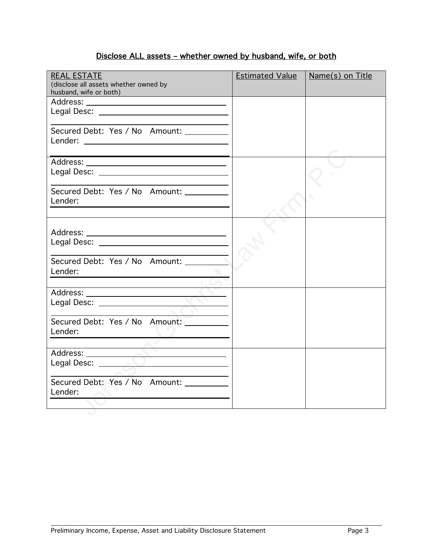## Disclose ALL assets – whether owned by husband, wife, or both

| <b>REAL ESTATE</b><br>(disclose all assets whether owned by<br>husband, wife or both) | <b>Estimated Value</b> | Name(s) on Title |
|---------------------------------------------------------------------------------------|------------------------|------------------|
|                                                                                       |                        |                  |
|                                                                                       |                        |                  |
|                                                                                       |                        |                  |
| Secured Debt: Yes / No Amount: _________                                              |                        |                  |
|                                                                                       |                        |                  |
|                                                                                       |                        |                  |
|                                                                                       |                        |                  |
|                                                                                       |                        |                  |
|                                                                                       |                        |                  |
| Secured Debt: Yes / No Amount:                                                        |                        |                  |
| Lender:                                                                               |                        |                  |
|                                                                                       |                        |                  |
|                                                                                       |                        |                  |
|                                                                                       |                        |                  |
|                                                                                       |                        |                  |
|                                                                                       |                        |                  |
| Secured Debt: Yes / No Amount:                                                        |                        |                  |
| Lender:<br><u> 1989 - Johann Stein, fransk politik (</u>                              |                        |                  |
|                                                                                       |                        |                  |
|                                                                                       |                        |                  |
|                                                                                       |                        |                  |
|                                                                                       |                        |                  |
| Secured Debt: Yes / No Amount:                                                        |                        |                  |
| Lender:                                                                               |                        |                  |
|                                                                                       |                        |                  |
|                                                                                       |                        |                  |
| Legal Desc: <u>Andrea Maria Communication</u>                                         |                        |                  |
|                                                                                       |                        |                  |
| Secured Debt: Yes / No Amount: _________                                              |                        |                  |
| Lender:                                                                               |                        |                  |
|                                                                                       |                        |                  |
|                                                                                       |                        |                  |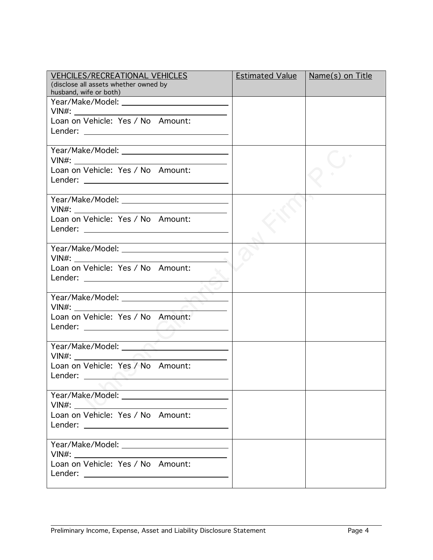| <b>VEHCILES/RECREATIONAL VEHICLES</b>                                                                                                                                                                                              | <b>Estimated Value</b> | $Name(s)$ on Title |
|------------------------------------------------------------------------------------------------------------------------------------------------------------------------------------------------------------------------------------|------------------------|--------------------|
| (disclose all assets whether owned by<br>husband, wife or both)                                                                                                                                                                    |                        |                    |
|                                                                                                                                                                                                                                    |                        |                    |
|                                                                                                                                                                                                                                    |                        |                    |
| Loan on Vehicle: Yes / No Amount:                                                                                                                                                                                                  |                        |                    |
|                                                                                                                                                                                                                                    |                        |                    |
|                                                                                                                                                                                                                                    |                        |                    |
|                                                                                                                                                                                                                                    |                        |                    |
| Loan on Vehicle: Yes / No Amount:                                                                                                                                                                                                  |                        |                    |
|                                                                                                                                                                                                                                    |                        |                    |
| <u> 1989 - Johann Stein, fransk politiker (d. 1989)</u>                                                                                                                                                                            |                        |                    |
|                                                                                                                                                                                                                                    |                        |                    |
|                                                                                                                                                                                                                                    |                        |                    |
| Loan on Vehicle: Yes / No Amount:                                                                                                                                                                                                  |                        |                    |
|                                                                                                                                                                                                                                    |                        |                    |
|                                                                                                                                                                                                                                    |                        |                    |
| Year/Make/Model: ________________________                                                                                                                                                                                          |                        |                    |
| Loan on Vehicle: Yes / No Amount:                                                                                                                                                                                                  |                        |                    |
|                                                                                                                                                                                                                                    |                        |                    |
|                                                                                                                                                                                                                                    |                        |                    |
| <u>and the second second</u>                                                                                                                                                                                                       |                        |                    |
|                                                                                                                                                                                                                                    |                        |                    |
| Loan on Vehicle: Yes / No Amount:                                                                                                                                                                                                  |                        |                    |
|                                                                                                                                                                                                                                    |                        |                    |
|                                                                                                                                                                                                                                    |                        |                    |
|                                                                                                                                                                                                                                    |                        |                    |
| $VIN#$ :<br>Loan on Vehicle: Yes / No Amount:                                                                                                                                                                                      |                        |                    |
| <b>Lender:</b> the contract of the contract of the contract of the contract of the contract of the contract of the contract of the contract of the contract of the contract of the contract of the contract of the contract of the |                        |                    |
|                                                                                                                                                                                                                                    |                        |                    |
|                                                                                                                                                                                                                                    |                        |                    |
|                                                                                                                                                                                                                                    |                        |                    |
| Loan on Vehicle: Yes / No Amount:                                                                                                                                                                                                  |                        |                    |
|                                                                                                                                                                                                                                    |                        |                    |
|                                                                                                                                                                                                                                    |                        |                    |
|                                                                                                                                                                                                                                    |                        |                    |
|                                                                                                                                                                                                                                    |                        |                    |
| Loan on Vehicle: Yes / No Amount:                                                                                                                                                                                                  |                        |                    |
|                                                                                                                                                                                                                                    |                        |                    |
|                                                                                                                                                                                                                                    |                        |                    |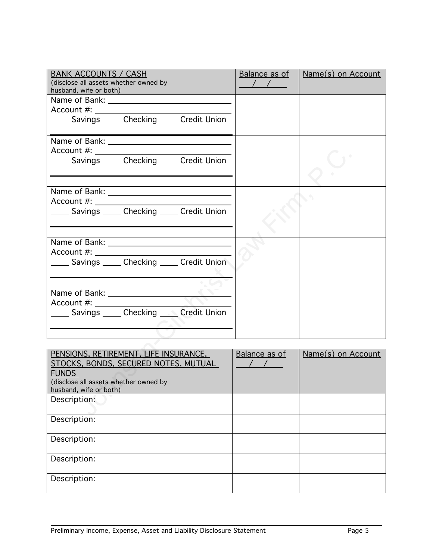| <b>BANK ACCOUNTS / CASH</b><br>(disclose all assets whether owned by<br>husband, wife or both) | Balance as of<br>$\frac{1}{2}$ | <b>Name(s) on Account</b> |
|------------------------------------------------------------------------------------------------|--------------------------------|---------------------------|
|                                                                                                |                                |                           |
|                                                                                                |                                |                           |
| Savings Checking Credit Union                                                                  |                                |                           |
|                                                                                                |                                |                           |
|                                                                                                |                                |                           |
| Savings Checking Credit Union                                                                  |                                |                           |
| Name of Bank:                                                                                  |                                |                           |
| Account #:                                                                                     |                                |                           |
| Savings Checking Credit Union                                                                  |                                |                           |
|                                                                                                |                                |                           |
|                                                                                                |                                |                           |
|                                                                                                |                                |                           |
| _____ Savings _____ Checking _____ Credit Union                                                |                                |                           |
|                                                                                                |                                |                           |
|                                                                                                |                                |                           |
|                                                                                                |                                |                           |
| Savings ______ Checking ______ Credit Union                                                    |                                |                           |
|                                                                                                |                                |                           |
|                                                                                                |                                |                           |
|                                                                                                |                                |                           |
| PENSIONS, RETIREMENT, LIFE INSURANCE,                                                          | Balance as of                  | Name(s) on Account        |
| STOCKS, BONDS, SECURED NOTES, MUTUAL                                                           |                                |                           |
| <b>FUNDS</b>                                                                                   |                                |                           |
| (disclose all assets whether owned by<br>husband, wife or both)                                |                                |                           |
| Description:                                                                                   |                                |                           |
|                                                                                                |                                |                           |
|                                                                                                |                                |                           |

| PENSIONS, RETIREMENT, LIFE INSURANCE,                           | Balance as of | Name(s) on Account |
|-----------------------------------------------------------------|---------------|--------------------|
| STOCKS, BONDS, SECURED NOTES, MUTUAL                            |               |                    |
| <b>FUNDS</b>                                                    |               |                    |
| (disclose all assets whether owned by<br>husband, wife or both) |               |                    |
| Description:                                                    |               |                    |
| Description:                                                    |               |                    |
| Description:                                                    |               |                    |
| Description:                                                    |               |                    |
| Description:                                                    |               |                    |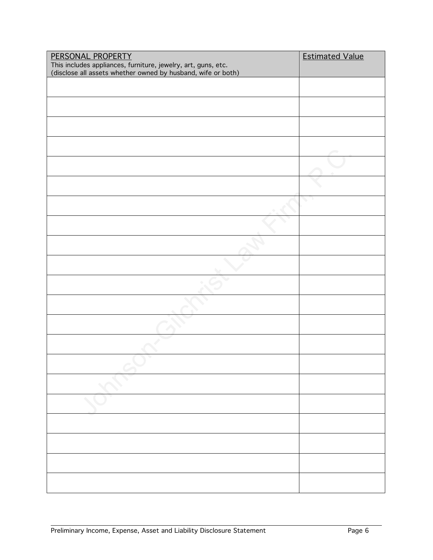| PERSONAL PROPERTY                                             | <b>Estimated Value</b> |
|---------------------------------------------------------------|------------------------|
| This includes appliances, furniture, jewelry, art, guns, etc. |                        |
| (disclose all assets whether owned by husband, wife or both)  |                        |
|                                                               |                        |
|                                                               |                        |
|                                                               |                        |
|                                                               |                        |
|                                                               |                        |
|                                                               |                        |
|                                                               |                        |
|                                                               |                        |
|                                                               |                        |
|                                                               |                        |
|                                                               |                        |
|                                                               |                        |
|                                                               |                        |
|                                                               |                        |
|                                                               |                        |
|                                                               |                        |
|                                                               |                        |
|                                                               |                        |
|                                                               |                        |
|                                                               |                        |
|                                                               |                        |
|                                                               |                        |
|                                                               |                        |
|                                                               |                        |
|                                                               |                        |
|                                                               |                        |
|                                                               |                        |
|                                                               |                        |
|                                                               |                        |
|                                                               |                        |
|                                                               |                        |
|                                                               |                        |
|                                                               |                        |
|                                                               |                        |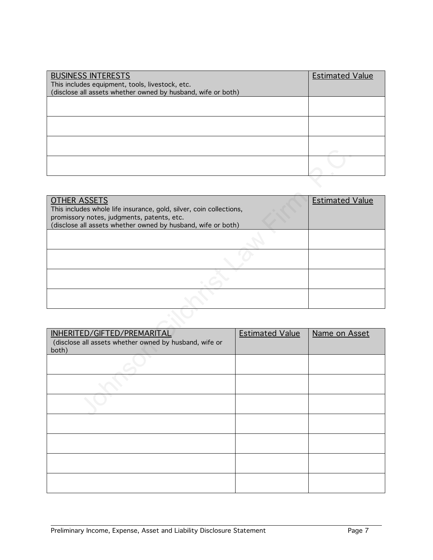| <b>BUSINESS INTERESTS</b><br>This includes equipment, tools, livestock, etc.<br>(disclose all assets whether owned by husband, wife or both) | <b>Estimated Value</b> |
|----------------------------------------------------------------------------------------------------------------------------------------------|------------------------|
|                                                                                                                                              |                        |
|                                                                                                                                              |                        |
|                                                                                                                                              |                        |
|                                                                                                                                              |                        |

| <b>OTHER ASSETS</b><br>This includes whole life insurance, gold, silver, coin collections,<br>promissory notes, judgments, patents, etc.<br>(disclose all assets whether owned by husband, wife or both) |                        | <b>Estimated Value</b> |
|----------------------------------------------------------------------------------------------------------------------------------------------------------------------------------------------------------|------------------------|------------------------|
|                                                                                                                                                                                                          |                        |                        |
|                                                                                                                                                                                                          |                        |                        |
|                                                                                                                                                                                                          |                        |                        |
|                                                                                                                                                                                                          |                        |                        |
|                                                                                                                                                                                                          |                        |                        |
| INHERITED/GIFTED/PREMARITAL<br>(disclose all assets whether owned by husband, wife or<br>both)                                                                                                           | <b>Estimated Value</b> | Name on Asset          |
|                                                                                                                                                                                                          |                        |                        |
|                                                                                                                                                                                                          |                        |                        |
|                                                                                                                                                                                                          |                        |                        |

| INHERITED/GIFTED/PREMARITAL<br>(disclose all assets whether owned by husband, wife or<br>both) | <b>Estimated Value</b> | Name on Asset |
|------------------------------------------------------------------------------------------------|------------------------|---------------|
|                                                                                                |                        |               |
|                                                                                                |                        |               |
|                                                                                                |                        |               |
|                                                                                                |                        |               |
|                                                                                                |                        |               |
|                                                                                                |                        |               |
|                                                                                                |                        |               |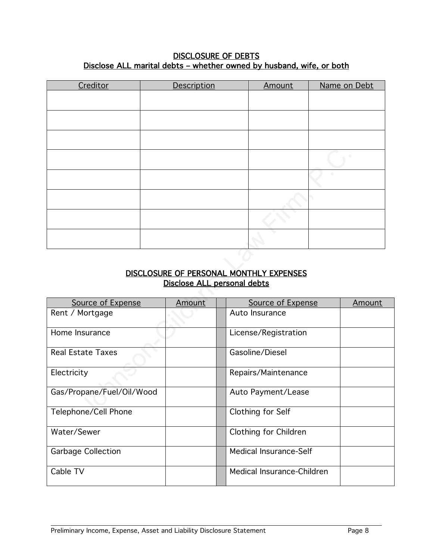#### DISCLOSURE OF DEBTS Disclose ALL marital debts - whether owned by husband, wife, or both

| Creditor | Description | Amount | Name on Debt |
|----------|-------------|--------|--------------|
|          |             |        |              |
|          |             |        |              |
|          |             |        |              |
|          |             |        |              |
|          |             |        |              |
|          |             |        |              |
|          |             |        |              |
|          |             |        |              |
|          |             |        |              |

## DISCLOSURE OF PERSONAL MONTHLY EXPENSES Disclose ALL personal debts

|                           | Disclose ALL personal debts | DISCLOSURE OF PERSONAL MONTHLY EXPENSES |  |        |
|---------------------------|-----------------------------|-----------------------------------------|--|--------|
| Source of Expense         | Amount                      | Source of Expense                       |  | Amount |
| Rent / Mortgage           |                             | Auto Insurance                          |  |        |
| Home Insurance            |                             | License/Registration                    |  |        |
| <b>Real Estate Taxes</b>  |                             | Gasoline/Diesel                         |  |        |
| Electricity               |                             | Repairs/Maintenance                     |  |        |
| Gas/Propane/Fuel/Oil/Wood |                             | Auto Payment/Lease                      |  |        |
| Telephone/Cell Phone      |                             | Clothing for Self                       |  |        |
| Water/Sewer               |                             | Clothing for Children                   |  |        |
| <b>Garbage Collection</b> |                             | <b>Medical Insurance-Self</b>           |  |        |
| Cable TV                  |                             | Medical Insurance-Children              |  |        |